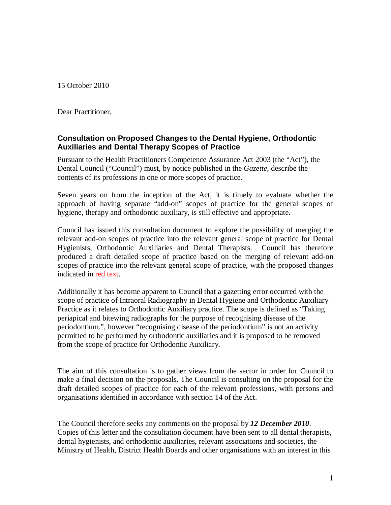15 October 2010

Dear Practitioner,

#### **Consultation on Proposed Changes to the Dental Hygiene, Orthodontic Auxiliaries and Dental Therapy Scopes of Practice**

Pursuant to the Health Practitioners Competence Assurance Act 2003 (the "Act"), the Dental Council ("Council") must, by notice published in the *Gazette,* describe the contents of its professions in one or more scopes of practice.

Seven years on from the inception of the Act, it is timely to evaluate whether the approach of having separate "add-on" scopes of practice for the general scopes of hygiene, therapy and orthodontic auxiliary, is still effective and appropriate.

Council has issued this consultation document to explore the possibility of merging the relevant add-on scopes of practice into the relevant general scope of practice for Dental Hygienists, Orthodontic Auxiliaries and Dental Therapists. Council has therefore produced a draft detailed scope of practice based on the merging of relevant add-on scopes of practice into the relevant general scope of practice, with the proposed changes indicated in red text.

Additionally it has become apparent to Council that a gazetting error occurred with the scope of practice of Intraoral Radiography in Dental Hygiene and Orthodontic Auxiliary Practice as it relates to Orthodontic Auxiliary practice. The scope is defined as "Taking periapical and bitewing radiographs for the purpose of recognising disease of the periodontium.", however "recognising disease of the periodontium" is not an activity permitted to be performed by orthodontic auxiliaries and it is proposed to be removed from the scope of practice for Orthodontic Auxiliary.

The aim of this consultation is to gather views from the sector in order for Council to make a final decision on the proposals. The Council is consulting on the proposal for the draft detailed scopes of practice for each of the relevant professions, with persons and organisations identified in accordance with section 14 of the Act.

The Council therefore seeks any comments on the proposal by *12 December 2010*. Copies of this letter and the consultation document have been sent to all dental therapists, dental hygienists, and orthodontic auxiliaries, relevant associations and societies, the Ministry of Health, District Health Boards and other organisations with an interest in this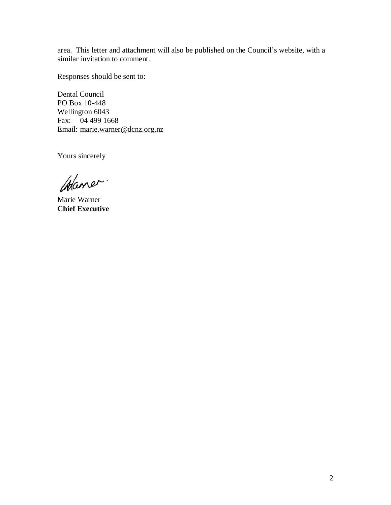area. This letter and attachment will also be published on the Council's website, with a similar invitation to comment.

Responses should be sent to:

Dental Council PO Box 10-448 Wellington 6043 Fax: 04 499 1668 Email: marie.warner@dcnz.org.nz

Yours sincerely

Chaner.

Marie Warner **Chief Executive**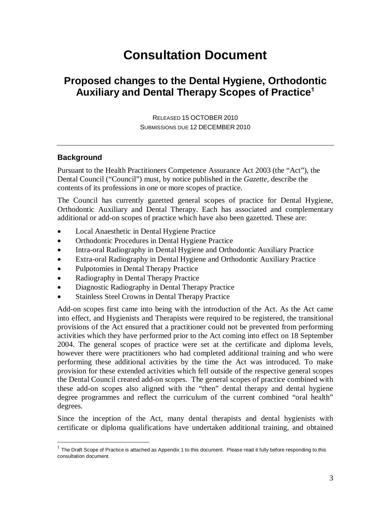# **Consultation Document**

# **Proposed changes to the Dental Hygiene, Orthodontic Auxiliary and Dental Therapy Scopes of Practice**<sup>1</sup>

RELEASED 15 OCTOBER 2010 SUBMISSIONS DUE 12 DECEMBER 2010

#### **Background**

Pursuant to the Health Practitioners Competence Assurance Act 2003 (the "Act"), the Dental Council ("Council") must, by notice published in the *Gazette,* describe the contents of its professions in one or more scopes of practice.

The Council has currently gazetted general scopes of practice for Dental Hygiene, Orthodontic Auxiliary and Dental Therapy. Each has associated and complementary additional or add-on scopes of practice which have also been gazetted. These are:

- Local Anaesthetic in Dental Hygiene Practice
- Orthodontic Procedures in Dental Hygiene Practice
- Intra-oral Radiography in Dental Hygiene and Orthodontic Auxiliary Practice
- Extra-oral Radiography in Dental Hygiene and Orthodontic Auxiliary Practice
- Pulpotomies in Dental Therapy Practice
- Radiography in Dental Therapy Practice
- Diagnostic Radiography in Dental Therapy Practice
- Stainless Steel Crowns in Dental Therapy Practice

Add-on scopes first came into being with the introduction of the Act. As the Act came into effect, and Hygienists and Therapists were required to be registered, the transitional provisions of the Act ensured that a practitioner could not be prevented from performing activities which they have performed prior to the Act coming into effect on 18 September 2004. The general scopes of practice were set at the certificate and diploma levels, however there were practitioners who had completed additional training and who were performing these additional activities by the time the Act was introduced. To make provision for these extended activities which fell outside of the respective general scopes the Dental Council created add-on scopes. The general scopes of practice combined with these add-on scopes also aligned with the "then" dental therapy and dental hygiene degree programmes and reflect the curriculum of the current combined "oral health" degrees.

Since the inception of the Act, many dental therapists and dental hygienists with certificate or diploma qualifications have undertaken additional training, and obtained

 1 The Draft Scope of Practice is attached as Appendix 1 to this document. Please read it fully before responding to this consultation document.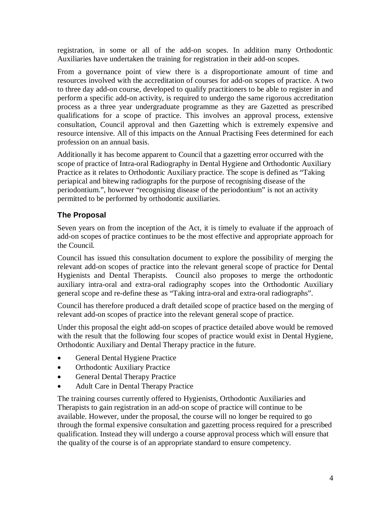registration, in some or all of the add-on scopes. In addition many Orthodontic Auxiliaries have undertaken the training for registration in their add-on scopes.

From a governance point of view there is a disproportionate amount of time and resources involved with the accreditation of courses for add-on scopes of practice. A two to three day add-on course, developed to qualify practitioners to be able to register in and perform a specific add-on activity, is required to undergo the same rigorous accreditation process as a three year undergraduate programme as they are Gazetted as prescribed qualifications for a scope of practice. This involves an approval process, extensive consultation, Council approval and then Gazetting which is extremely expensive and resource intensive. All of this impacts on the Annual Practising Fees determined for each profession on an annual basis.

Additionally it has become apparent to Council that a gazetting error occurred with the scope of practice of Intra-oral Radiography in Dental Hygiene and Orthodontic Auxiliary Practice as it relates to Orthodontic Auxiliary practice. The scope is defined as "Taking periapical and bitewing radiographs for the purpose of recognising disease of the periodontium.", however "recognising disease of the periodontium" is not an activity permitted to be performed by orthodontic auxiliaries.

# **The Proposal**

Seven years on from the inception of the Act, it is timely to evaluate if the approach of add-on scopes of practice continues to be the most effective and appropriate approach for the Council.

Council has issued this consultation document to explore the possibility of merging the relevant add-on scopes of practice into the relevant general scope of practice for Dental Hygienists and Dental Therapists. Council also proposes to merge the orthodontic auxiliary intra-oral and extra-oral radiography scopes into the Orthodontic Auxiliary general scope and re-define these as "Taking intra-oral and extra-oral radiographs".

Council has therefore produced a draft detailed scope of practice based on the merging of relevant add-on scopes of practice into the relevant general scope of practice.

Under this proposal the eight add-on scopes of practice detailed above would be removed with the result that the following four scopes of practice would exist in Dental Hygiene, Orthodontic Auxiliary and Dental Therapy practice in the future.

- General Dental Hygiene Practice
- Orthodontic Auxiliary Practice
- General Dental Therapy Practice
- Adult Care in Dental Therapy Practice

The training courses currently offered to Hygienists, Orthodontic Auxiliaries and Therapists to gain registration in an add-on scope of practice will continue to be available. However, under the proposal, the course will no longer be required to go through the formal expensive consultation and gazetting process required for a prescribed qualification. Instead they will undergo a course approval process which will ensure that the quality of the course is of an appropriate standard to ensure competency.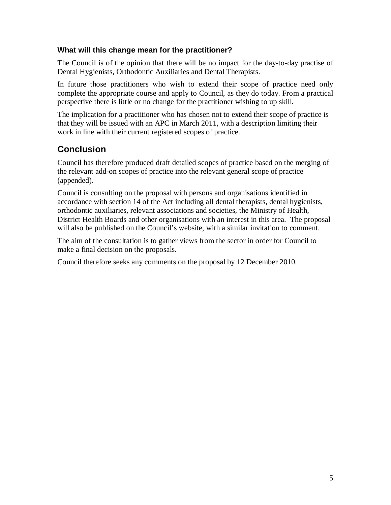#### **What will this change mean for the practitioner?**

The Council is of the opinion that there will be no impact for the day-to-day practise of Dental Hygienists, Orthodontic Auxiliaries and Dental Therapists.

In future those practitioners who wish to extend their scope of practice need only complete the appropriate course and apply to Council, as they do today. From a practical perspective there is little or no change for the practitioner wishing to up skill.

The implication for a practitioner who has chosen not to extend their scope of practice is that they will be issued with an APC in March 2011, with a description limiting their work in line with their current registered scopes of practice.

# **Conclusion**

Council has therefore produced draft detailed scopes of practice based on the merging of the relevant add-on scopes of practice into the relevant general scope of practice (appended).

Council is consulting on the proposal with persons and organisations identified in accordance with section 14 of the Act including all dental therapists, dental hygienists, orthodontic auxiliaries, relevant associations and societies, the Ministry of Health, District Health Boards and other organisations with an interest in this area. The proposal will also be published on the Council's website, with a similar invitation to comment.

The aim of the consultation is to gather views from the sector in order for Council to make a final decision on the proposals.

Council therefore seeks any comments on the proposal by 12 December 2010.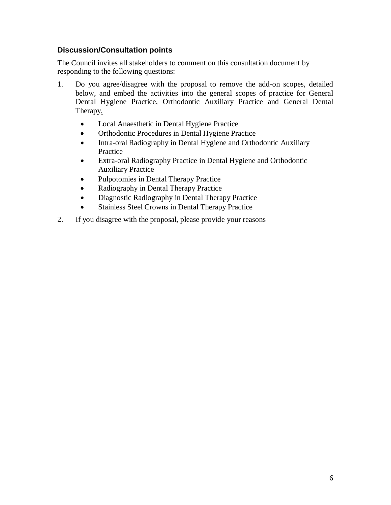### **Discussion/Consultation points**

The Council invites all stakeholders to comment on this consultation document by responding to the following questions:

- 1. Do you agree/disagree with the proposal to remove the add-on scopes, detailed below, and embed the activities into the general scopes of practice for General Dental Hygiene Practice, Orthodontic Auxiliary Practice and General Dental Therapy.
	- Local Anaesthetic in Dental Hygiene Practice
	- Orthodontic Procedures in Dental Hygiene Practice
	- Intra-oral Radiography in Dental Hygiene and Orthodontic Auxiliary Practice
	- Extra-oral Radiography Practice in Dental Hygiene and Orthodontic Auxiliary Practice
	- Pulpotomies in Dental Therapy Practice
	- Radiography in Dental Therapy Practice
	- Diagnostic Radiography in Dental Therapy Practice
	- Stainless Steel Crowns in Dental Therapy Practice
- 2. If you disagree with the proposal, please provide your reasons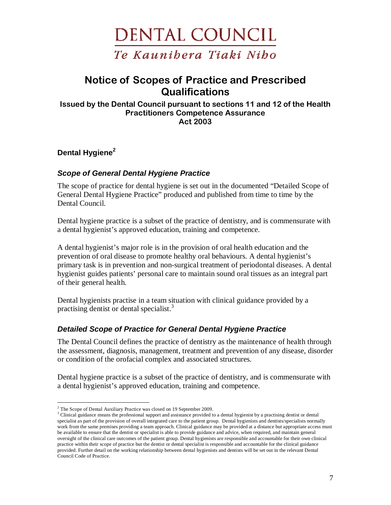

# Notice of Scopes of Practice and Prescribed **Qualifications**

Issued by the Dental Council pursuant to sections 11 and 12 of the Health Practitioners Competence Assurance Act 2003

**Dental Hygiene<sup>2</sup>**

#### **Scope of General Dental Hygiene Practice**

The scope of practice for dental hygiene is set out in the documented "Detailed Scope of General Dental Hygiene Practice" produced and published from time to time by the Dental Council.

Dental hygiene practice is a subset of the practice of dentistry, and is commensurate with a dental hygienist's approved education, training and competence.

A dental hygienist's major role is in the provision of oral health education and the prevention of oral disease to promote healthy oral behaviours. A dental hygienist's primary task is in prevention and non-surgical treatment of periodontal diseases. A dental hygienist guides patients' personal care to maintain sound oral tissues as an integral part of their general health.

Dental hygienists practise in a team situation with clinical guidance provided by a practising dentist or dental specialist.<sup>3</sup>

### **Detailed Scope of Practice for General Dental Hygiene Practice**

The Dental Council defines the practice of dentistry as the maintenance of health through the assessment, diagnosis, management, treatment and prevention of any disease, disorder or condition of the orofacial complex and associated structures.

Dental hygiene practice is a subset of the practice of dentistry, and is commensurate with a dental hygienist's approved education, training and competence.

<sup>&</sup>lt;u>.</u> <sup>2</sup> The Scope of Dental Auxiliary Practice was closed on 19 September 2009.

<sup>&</sup>lt;sup>3</sup> Clinical guidance means the professional support and assistance provided to a dental hygienist by a practising dentist or dental specialist as part of the provision of overall integrated care to the patient group. Dental hygienists and dentists/specialists normally work from the same premises providing a team approach. Clinical guidance may be provided at a distance but appropriate access must be available to ensure that the dentist or specialist is able to provide guidance and advice, when required, and maintain general oversight of the clinical care outcomes of the patient group. Dental hygienists are responsible and accountable for their own clinical practice within their scope of practice but the dentist or dental specialist is responsible and accountable for the clinical guidance provided. Further detail on the working relationship between dental hygienists and dentists will be set out in the relevant Dental Council Code of Practice.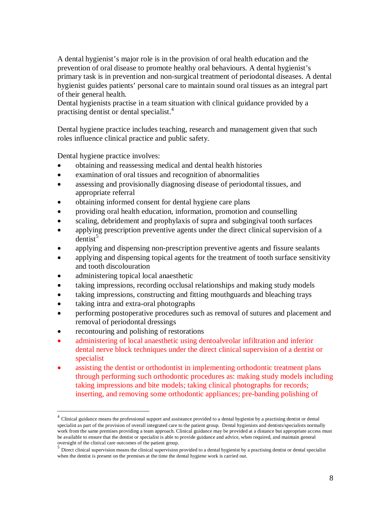A dental hygienist's major role is in the provision of oral health education and the prevention of oral disease to promote healthy oral behaviours. A dental hygienist's primary task is in prevention and non-surgical treatment of periodontal diseases. A dental hygienist guides patients' personal care to maintain sound oral tissues as an integral part of their general health.

Dental hygienists practise in a team situation with clinical guidance provided by a practising dentist or dental specialist.<sup>4</sup>

Dental hygiene practice includes teaching, research and management given that such roles influence clinical practice and public safety.

Dental hygiene practice involves:

- obtaining and reassessing medical and dental health histories
- examination of oral tissues and recognition of abnormalities
- assessing and provisionally diagnosing disease of periodontal tissues, and appropriate referral
- obtaining informed consent for dental hygiene care plans
- providing oral health education, information, promotion and counselling
- scaling, debridement and prophylaxis of supra and subgingival tooth surfaces
- applying prescription preventive agents under the direct clinical supervision of a dentist $^5$
- applying and dispensing non-prescription preventive agents and fissure sealants
- applying and dispensing topical agents for the treatment of tooth surface sensitivity and tooth discolouration
- administering topical local anaesthetic
- taking impressions, recording occlusal relationships and making study models
- taking impressions, constructing and fitting mouthguards and bleaching trays
- taking intra and extra-oral photographs
- performing postoperative procedures such as removal of sutures and placement and removal of periodontal dressings
- recontouring and polishing of restorations

-

- administering of local anaesthetic using dentoalveolar infiltration and inferior dental nerve block techniques under the direct clinical supervision of a dentist or specialist
- assisting the dentist or orthodontist in implementing orthodontic treatment plans through performing such orthodontic procedures as: making study models including taking impressions and bite models; taking clinical photographs for records; inserting, and removing some orthodontic appliances; pre-banding polishing of

<sup>&</sup>lt;sup>4</sup> Clinical guidance means the professional support and assistance provided to a dental hygienist by a practising dentist or dental specialist as part of the provision of overall integrated care to the patient group. Dental hygienists and dentists/specialists normally work from the same premises providing a team approach. Clinical guidance may be provided at a distance but appropriate access must be available to ensure that the dentist or specialist is able to provide guidance and advice, when required, and maintain general

oversight of the clinical care outcomes of the patient group.<br><sup>5</sup> Direct clinical supervision means the clinical supervision provided to a dental hygienist by a practising dentist or dental specialist when the dentist is present on the premises at the time the dental hygiene work is carried out.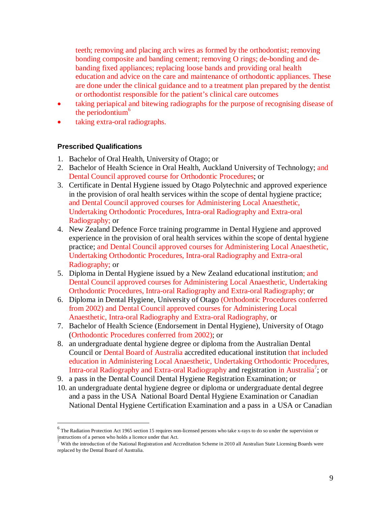teeth; removing and placing arch wires as formed by the orthodontist; removing bonding composite and banding cement; removing O rings; de-bonding and debanding fixed appliances; replacing loose bands and providing oral health education and advice on the care and maintenance of orthodontic appliances. These are done under the clinical guidance and to a treatment plan prepared by the dentist or orthodontist responsible for the patient's clinical care outcomes

- taking periapical and bitewing radiographs for the purpose of recognising disease of the periodontium<sup> $6$ </sup>
- taking extra-oral radiographs.

#### **Prescribed Qualifications**

<u>.</u>

- 1. Bachelor of Oral Health, University of Otago; or
- 2. Bachelor of Health Science in Oral Health, Auckland University of Technology; and Dental Council approved course for Orthodontic Procedures; or
- 3. Certificate in Dental Hygiene issued by Otago Polytechnic and approved experience in the provision of oral health services within the scope of dental hygiene practice; and Dental Council approved courses for Administering Local Anaesthetic, Undertaking Orthodontic Procedures, Intra-oral Radiography and Extra-oral Radiography; or
- 4. New Zealand Defence Force training programme in Dental Hygiene and approved experience in the provision of oral health services within the scope of dental hygiene practice; and Dental Council approved courses for Administering Local Anaesthetic, Undertaking Orthodontic Procedures, Intra-oral Radiography and Extra-oral Radiography; or
- 5. Diploma in Dental Hygiene issued by a New Zealand educational institution; and Dental Council approved courses for Administering Local Anaesthetic, Undertaking Orthodontic Procedures, Intra-oral Radiography and Extra-oral Radiography; or
- 6. Diploma in Dental Hygiene, University of Otago (Orthodontic Procedures conferred from 2002) and Dental Council approved courses for Administering Local Anaesthetic, Intra-oral Radiography and Extra-oral Radiography, or
- 7. Bachelor of Health Science (Endorsement in Dental Hygiene), University of Otago (Orthodontic Procedures conferred from 2002); or
- 8. an undergraduate dental hygiene degree or diploma from the Australian Dental Council or Dental Board of Australia accredited educational institution that included education in Administering Local Anaesthetic, Undertaking Orthodontic Procedures, Intra-oral Radiography and Extra-oral Radiography and registration in Australia<sup>7</sup>; or
- 9. a pass in the Dental Council Dental Hygiene Registration Examination; or
- 10. an undergraduate dental hygiene degree or diploma or undergraduate dental degree and a pass in the USA National Board Dental Hygiene Examination or Canadian National Dental Hygiene Certification Examination and a pass in a USA or Canadian

<sup>&</sup>lt;sup>6</sup> The Radiation Protection Act 1965 section 15 requires non-licensed persons who take x-rays to do so under the supervision or instructions of a person who holds a licence under that Act.

 $^7$  With the introduction of the National Registration and Accreditation Scheme in 2010 all Australian State Licensing Boards were replaced by the Dental Board of Australia.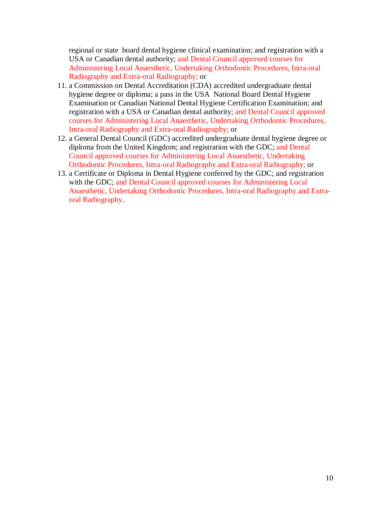regional or state board dental hygiene clinical examination; and registration with a USA or Canadian dental authority; and Dental Council approved courses for Administering Local Anaesthetic, Undertaking Orthodontic Procedures, Intra-oral Radiography and Extra-oral Radiography; or

- 11. a Commission on Dental Accreditation (CDA) accredited undergraduate dental hygiene degree or diploma; a pass in the USA National Board Dental Hygiene Examination or Canadian National Dental Hygiene Certification Examination; and registration with a USA or Canadian dental authority; and Dental Council approved courses for Administering Local Anaesthetic, Undertaking Orthodontic Procedures, Intra-oral Radiography and Extra-oral Radiography; or
- 12. a General Dental Council (GDC) accredited undergraduate dental hygiene degree or diploma from the United Kingdom; and registration with the GDC; and Dental Council approved courses for Administering Local Anaesthetic, Undertaking Orthodontic Procedures, Intra-oral Radiography and Extra-oral Radiography; or
- 13. a Certificate or Diploma in Dental Hygiene conferred by the GDC; and registration with the GDC; and Dental Council approved courses for Administering Local Anaesthetic, Undertaking Orthodontic Procedures, Intra-oral Radiography and Extraoral Radiography.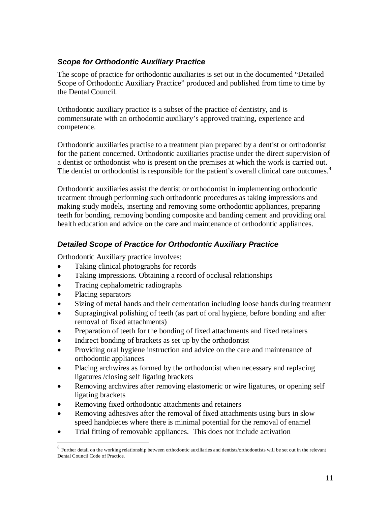# **Scope for Orthodontic Auxiliary Practice**

The scope of practice for orthodontic auxiliaries is set out in the documented "Detailed Scope of Orthodontic Auxiliary Practice" produced and published from time to time by the Dental Council.

Orthodontic auxiliary practice is a subset of the practice of dentistry, and is commensurate with an orthodontic auxiliary's approved training, experience and competence.

Orthodontic auxiliaries practise to a treatment plan prepared by a dentist or orthodontist for the patient concerned. Orthodontic auxiliaries practise under the direct supervision of a dentist or orthodontist who is present on the premises at which the work is carried out. The dentist or orthodontist is responsible for the patient's overall clinical care outcomes.<sup>8</sup>

Orthodontic auxiliaries assist the dentist or orthodontist in implementing orthodontic treatment through performing such orthodontic procedures as taking impressions and making study models, inserting and removing some orthodontic appliances, preparing teeth for bonding, removing bonding composite and banding cement and providing oral health education and advice on the care and maintenance of orthodontic appliances.

# **Detailed Scope of Practice for Orthodontic Auxiliary Practice**

Orthodontic Auxiliary practice involves:

- Taking clinical photographs for records
- Taking impressions. Obtaining a record of occlusal relationships
- Tracing cephalometric radiographs
- Placing separators
- Sizing of metal bands and their cementation including loose bands during treatment
- Supragingival polishing of teeth (as part of oral hygiene, before bonding and after removal of fixed attachments)
- Preparation of teeth for the bonding of fixed attachments and fixed retainers
- Indirect bonding of brackets as set up by the orthodontist
- Providing oral hygiene instruction and advice on the care and maintenance of orthodontic appliances
- Placing archwires as formed by the orthodontist when necessary and replacing ligatures /closing self ligating brackets
- Removing archwires after removing elastomeric or wire ligatures, or opening self ligating brackets
- Removing fixed orthodontic attachments and retainers
- Removing adhesives after the removal of fixed attachments using burs in slow speed handpieces where there is minimal potential for the removal of enamel
- Trial fitting of removable appliances. This does not include activation

**<sup>8</sup>**<br><sup>8</sup> Further detail on the working relationship between orthodontic auxiliaries and dentists/orthodontists will be set out in the relevant Dental Council Code of Practice.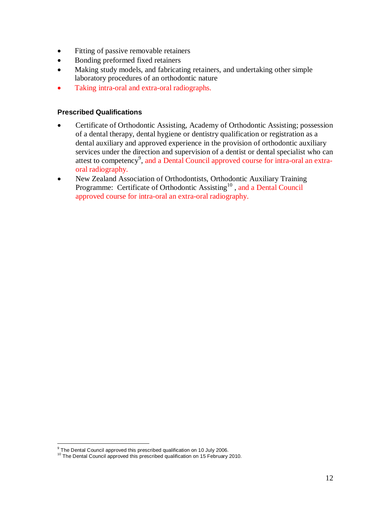- Fitting of passive removable retainers
- Bonding preformed fixed retainers
- Making study models, and fabricating retainers, and undertaking other simple laboratory procedures of an orthodontic nature
- Taking intra-oral and extra-oral radiographs.

#### **Prescribed Qualifications**

- Certificate of Orthodontic Assisting, Academy of Orthodontic Assisting; possession of a dental therapy, dental hygiene or dentistry qualification or registration as a dental auxiliary and approved experience in the provision of orthodontic auxiliary services under the direction and supervision of a dentist or dental specialist who can attest to competency<sup>9</sup>, and a Dental Council approved course for intra-oral an extraoral radiography.
- New Zealand Association of Orthodontists, Orthodontic Auxiliary Training Programme: Certificate of Orthodontic Assisting<sup>10</sup>, and a Dental Council approved course for intra-oral an extra-oral radiography.

 9 The Dental Council approved this prescribed qualification on 10 July 2006.

<sup>&</sup>lt;sup>10</sup> The Dental Council approved this prescribed qualification on 15 February 2010.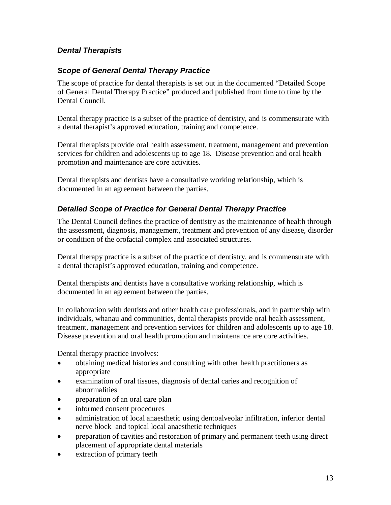# **Dental Therapists**

### **Scope of General Dental Therapy Practice**

The scope of practice for dental therapists is set out in the documented "Detailed Scope of General Dental Therapy Practice" produced and published from time to time by the Dental Council.

Dental therapy practice is a subset of the practice of dentistry, and is commensurate with a dental therapist's approved education, training and competence.

Dental therapists provide oral health assessment, treatment, management and prevention services for children and adolescents up to age 18. Disease prevention and oral health promotion and maintenance are core activities.

Dental therapists and dentists have a consultative working relationship, which is documented in an agreement between the parties.

### **Detailed Scope of Practice for General Dental Therapy Practice**

The Dental Council defines the practice of dentistry as the maintenance of health through the assessment, diagnosis, management, treatment and prevention of any disease, disorder or condition of the orofacial complex and associated structures.

Dental therapy practice is a subset of the practice of dentistry, and is commensurate with a dental therapist's approved education, training and competence.

Dental therapists and dentists have a consultative working relationship, which is documented in an agreement between the parties.

In collaboration with dentists and other health care professionals, and in partnership with individuals, whanau and communities, dental therapists provide oral health assessment, treatment, management and prevention services for children and adolescents up to age 18. Disease prevention and oral health promotion and maintenance are core activities.

Dental therapy practice involves:

- obtaining medical histories and consulting with other health practitioners as appropriate
- examination of oral tissues, diagnosis of dental caries and recognition of abnormalities
- preparation of an oral care plan
- informed consent procedures
- administration of local anaesthetic using dentoalveolar infiltration, inferior dental nerve block and topical local anaesthetic techniques
- preparation of cavities and restoration of primary and permanent teeth using direct placement of appropriate dental materials
- extraction of primary teeth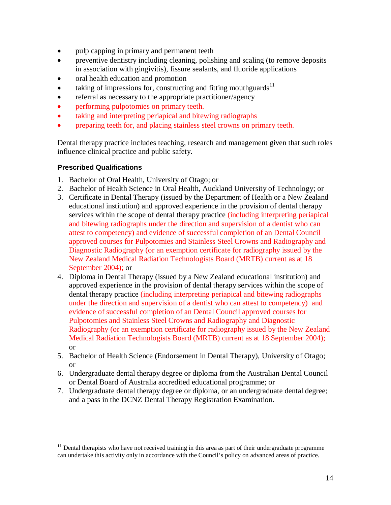- pulp capping in primary and permanent teeth
- preventive dentistry including cleaning, polishing and scaling (to remove deposits in association with gingivitis), fissure sealants, and fluoride applications
- oral health education and promotion
- taking of impressions for, constructing and fitting mouthguards $11$
- referral as necessary to the appropriate practitioner/agency
- performing pulpotomies on primary teeth.
- taking and interpreting periapical and bitewing radiographs
- preparing teeth for, and placing stainless steel crowns on primary teeth.

Dental therapy practice includes teaching, research and management given that such roles influence clinical practice and public safety.

#### **Prescribed Qualifications**

<u>.</u>

- 1. Bachelor of Oral Health, University of Otago; or
- 2. Bachelor of Health Science in Oral Health, Auckland University of Technology; or
- 3. Certificate in Dental Therapy (issued by the Department of Health or a New Zealand educational institution) and approved experience in the provision of dental therapy services within the scope of dental therapy practice (including interpreting periapical and bitewing radiographs under the direction and supervision of a dentist who can attest to competency) and evidence of successful completion of an Dental Council approved courses for Pulpotomies and Stainless Steel Crowns and Radiography and Diagnostic Radiography (or an exemption certificate for radiography issued by the New Zealand Medical Radiation Technologists Board (MRTB) current as at 18 September 2004); or
- 4. Diploma in Dental Therapy (issued by a New Zealand educational institution) and approved experience in the provision of dental therapy services within the scope of dental therapy practice (including interpreting periapical and bitewing radiographs under the direction and supervision of a dentist who can attest to competency) and evidence of successful completion of an Dental Council approved courses for Pulpotomies and Stainless Steel Crowns and Radiography and Diagnostic Radiography (or an exemption certificate for radiography issued by the New Zealand Medical Radiation Technologists Board (MRTB) current as at 18 September 2004); or
- 5. Bachelor of Health Science (Endorsement in Dental Therapy), University of Otago; or
- 6. Undergraduate dental therapy degree or diploma from the Australian Dental Council or Dental Board of Australia accredited educational programme; or
- 7. Undergraduate dental therapy degree or diploma, or an undergraduate dental degree; and a pass in the DCNZ Dental Therapy Registration Examination.

 $11$  Dental therapists who have not received training in this area as part of their undergraduate programme can undertake this activity only in accordance with the Council's policy on advanced areas of practice.